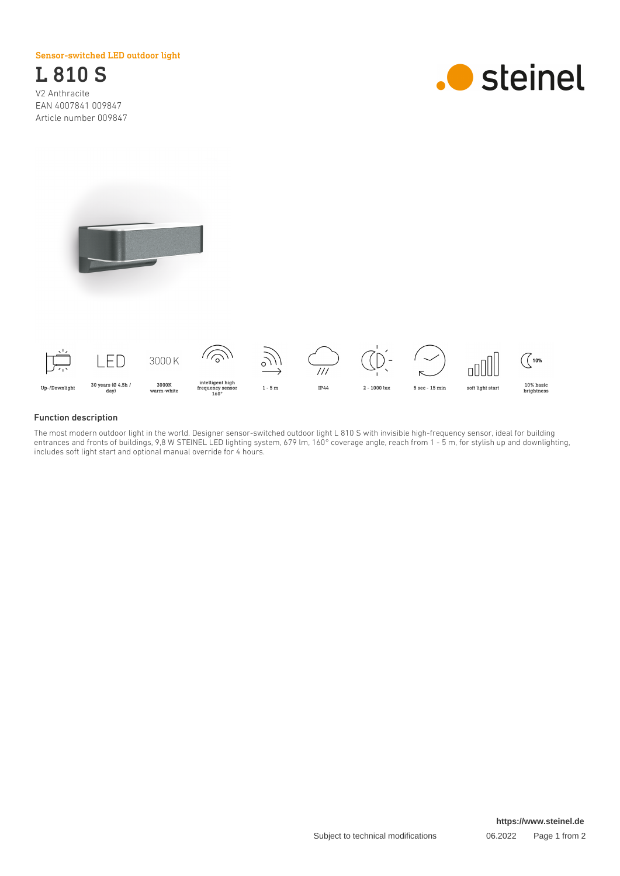Sensor-switched LED outdoor light

L 810 S V2 Anthracite EAN 4007841 009847 Article number 009847







## Function description

The most modern outdoor light in the world. Designer sensor-switched outdoor light L 810 S with invisible high-frequency sensor, ideal for building entrances and fronts of buildings, 9,8 W STEINEL LED lighting system, 679 lm, 160° coverage angle, reach from 1 - 5 m, for stylish up and downlighting, includes soft light start and optional manual override for 4 hours.